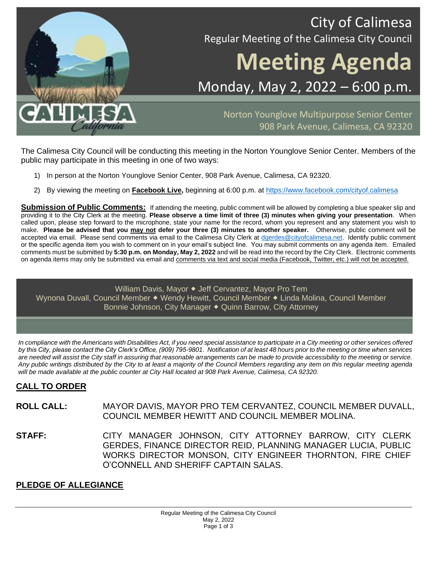

## City of Calimesa Regular Meeting of the Calimesa City Council

# **Meeting Agenda**

Monday, May 2, 2022 – 6:00 p.m.

Norton Younglove Multipurpose Senior Center 908 Park Avenue, Calimesa, CA 92320

The Calimesa City Council will be conducting this meeting in the Norton Younglove Senior Center. Members of the public may participate in this meeting in one of two ways:

- 1) In person at the Norton Younglove Senior Center, 908 Park Avenue, Calimesa, CA 92320.
- 2) By viewing the meeting on **Facebook Live,** beginning at 6:00 p.m. at<https://www.facebook.com/cityof.calimesa>

**Submission of Public Comments:** If attending the meeting, public comment will be allowed by completing a blue speaker slip and providing it to the City Clerk at the meeting. **Please observe a time limit of three (3) minutes when giving your presentation**. When called upon, please step forward to the microphone, state your name for the record, whom you represent and any statement you wish to make. **Please be advised that you may not defer your three (3) minutes to another speaker.** Otherwise, public comment will be accepted via email. Please send comments via email to the Calimesa City Clerk at [dgerdes@cityofcalimesa.net.](mailto:dgerdes@cityofcalimesa.net) Identify public comment or the specific agenda item you wish to comment on in your email's subject line. You may submit comments on any agenda item. Emailed comments must be submitted by **5:30 p.m. on Monday, May 2, 2022** and will be read into the record by the City Clerk. Electronic comments on agenda items may only be submitted via email and comments via text and social media (Facebook, Twitter, etc.) will not be accepted.

#### William Davis, Mayor • Jeff Cervantez, Mayor Pro Tem Wynona Duvall, Council Member ♦ Wendy Hewitt, Council Member ♦ Linda Molina, Council Member Bonnie Johnson, City Manager • Quinn Barrow, City Attorney

In compliance with the Americans with Disabilities Act, if you need special assistance to participate in a City meeting or other services offered *by this City, please contact the City Clerk's Office, (909) 795-9801. Notification of at least 48 hours prior to the meeting or time when services are needed will assist the City staff in assuring that reasonable arrangements can be made to provide accessibility to the meeting or service. Any public writings distributed by the City to at least a majority of the Council Members regarding any item on this regular meeting agenda will be made available at the public counter at City Hall located at 908 Park Avenue, Calimesa, CA 92320.*

### **CALL TO ORDER**

- **ROLL CALL:** MAYOR DAVIS, MAYOR PRO TEM CERVANTEZ, COUNCIL MEMBER DUVALL, COUNCIL MEMBER HEWITT AND COUNCIL MEMBER MOLINA.
- **STAFF:** CITY MANAGER JOHNSON, CITY ATTORNEY BARROW, CITY CLERK GERDES, FINANCE DIRECTOR REID, PLANNING MANAGER LUCIA, PUBLIC WORKS DIRECTOR MONSON, CITY ENGINEER THORNTON, FIRE CHIEF O'CONNELL AND SHERIFF CAPTAIN SALAS.

#### **PLEDGE OF ALLEGIANCE**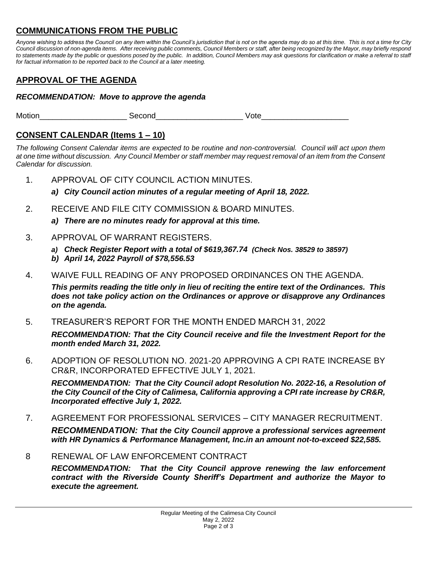## **COMMUNICATIONS FROM THE PUBLIC**

*Anyone wishing to address the Council on any item within the Council's jurisdiction that is not on the agenda may do so at this time. This is not a time for City Council discussion of non-agenda items. After receiving public comments, Council Members or staff, after being recognized by the Mayor, may briefly respond*  to statements made by the public or questions posed by the public. In addition, Council Members may ask questions for clarification or make a referral to staff *for factual information to be reported back to the Council at a later meeting.*

#### **APPROVAL OF THE AGENDA**

*RECOMMENDATION: Move to approve the agenda*

Motion\_\_\_\_\_\_\_\_\_\_\_\_\_\_\_\_\_\_\_\_ Second\_\_\_\_\_\_\_\_\_\_\_\_\_\_\_\_\_\_\_\_ Vote\_\_\_\_\_\_\_\_\_\_\_\_\_\_\_\_\_\_\_\_

#### **CONSENT CALENDAR (Items 1 – 10)**

*The following Consent Calendar items are expected to be routine and non-controversial. Council will act upon them at one time without discussion. Any Council Member or staff member may request removal of an item from the Consent Calendar for discussion.*

- 1. APPROVAL OF CITY COUNCIL ACTION MINUTES.
	- *a) City Council action minutes of a regular meeting of April 18, 2022.*
- 2. RECEIVE AND FILE CITY COMMISSION & BOARD MINUTES.
	- *a) There are no minutes ready for approval at this time.*
- 3. APPROVAL OF WARRANT REGISTERS.
	- *a) Check Register Report with a total of \$619,367.74 (Check Nos. 38529 to 38597)*
	- *b) April 14, 2022 Payroll of \$78,556.53*
- 4. WAIVE FULL READING OF ANY PROPOSED ORDINANCES ON THE AGENDA.

*This permits reading the title only in lieu of reciting the entire text of the Ordinances. This does not take policy action on the Ordinances or approve or disapprove any Ordinances on the agenda.*

5. TREASURER'S REPORT FOR THE MONTH ENDED MARCH 31, 2022

*RECOMMENDATION: That the City Council receive and file the Investment Report for the month ended March 31, 2022.*

6. ADOPTION OF RESOLUTION NO. 2021-20 APPROVING A CPI RATE INCREASE BY CR&R, INCORPORATED EFFECTIVE JULY 1, 2021.

*RECOMMENDATION: That the City Council adopt Resolution No. 2022-16, a Resolution of the City Council of the City of Calimesa, California approving a CPI rate increase by CR&R, Incorporated effective July 1, 2022.*

- 7. AGREEMENT FOR PROFESSIONAL SERVICES CITY MANAGER RECRUITMENT. *RECOMMENDATION: That the City Council approve a professional services agreement with HR Dynamics & Performance Management, Inc.in an amount not-to-exceed \$22,585.*
- 8 RENEWAL OF LAW ENFORCEMENT CONTRACT *RECOMMENDATION: That the City Council approve renewing the law enforcement contract with the Riverside County Sheriff's Department and authorize the Mayor to execute the agreement.*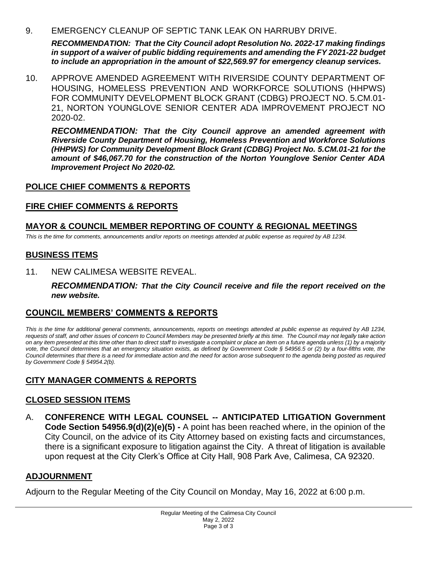- 9. EMERGENCY CLEANUP OF SEPTIC TANK LEAK ON HARRUBY DRIVE. *RECOMMENDATION: That the City Council adopt Resolution No. 2022-17 making findings in support of a waiver of public bidding requirements and amending the FY 2021-22 budget to include an appropriation in the amount of \$22,569.97 for emergency cleanup services.*
- 10. APPROVE AMENDED AGREEMENT WITH RIVERSIDE COUNTY DEPARTMENT OF HOUSING, HOMELESS PREVENTION AND WORKFORCE SOLUTIONS (HHPWS) FOR COMMUNITY DEVELOPMENT BLOCK GRANT (CDBG) PROJECT NO. 5.CM.01- 21, NORTON YOUNGLOVE SENIOR CENTER ADA IMPROVEMENT PROJECT NO 2020-02.

*RECOMMENDATION: That the City Council approve an amended agreement with Riverside County Department of Housing, Homeless Prevention and Workforce Solutions (HHPWS) for Community Development Block Grant (CDBG) Project No. 5.CM.01-21 for the amount of \$46,067.70 for the construction of the Norton Younglove Senior Center ADA Improvement Project No 2020-02.*

### **POLICE CHIEF COMMENTS & REPORTS**

## **FIRE CHIEF COMMENTS & REPORTS**

## **MAYOR & COUNCIL MEMBER REPORTING OF COUNTY & REGIONAL MEETINGS**

*This is the time for comments, announcements and/or reports on meetings attended at public expense as required by AB 1234.*

## **BUSINESS ITEMS**

11. NEW CALIMESA WEBSITE REVEAL.

*RECOMMENDATION: That the City Council receive and file the report received on the new website.*

### **COUNCIL MEMBERS' COMMENTS & REPORTS**

*This is the time for additional general comments, announcements, reports on meetings attended at public expense as required by AB 1234, requests of staff, and other issues of concern to Council Members may be presented briefly at this time. The Council may not legally take action on any item presented at this time other than to direct staff to investigate a complaint or place an item on a future agenda unless (1) by a majority vote, the Council determines that an emergency situation exists, as defined by Government Code § 54956.5 or (2) by a four-fifths vote, the Council determines that there is a need for immediate action and the need for action arose subsequent to the agenda being posted as required by Government Code § 54954.2(b).*

## **CITY MANAGER COMMENTS & REPORTS**

## **CLOSED SESSION ITEMS**

A. **CONFERENCE WITH LEGAL COUNSEL -- ANTICIPATED LITIGATION Government Code Section 54956.9(d)(2)(e)(5) -** A point has been reached where, in the opinion of the City Council, on the advice of its City Attorney based on existing facts and circumstances, there is a significant exposure to litigation against the City. A threat of litigation is available upon request at the City Clerk's Office at City Hall, 908 Park Ave, Calimesa, CA 92320.

### **ADJOURNMENT**

Adjourn to the Regular Meeting of the City Council on Monday, May 16, 2022 at 6:00 p.m.